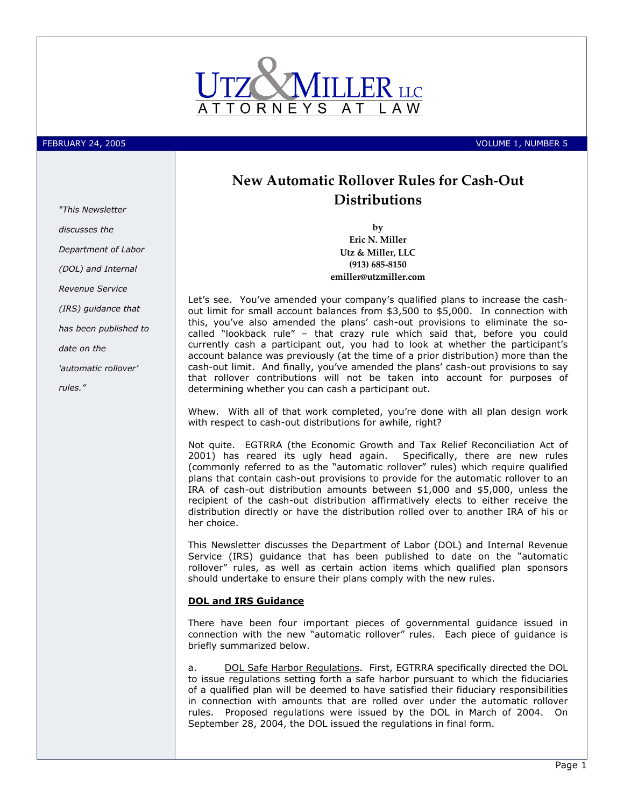

"This Newsletter

Department of Labor (DOL) and Internal Revenue Service

(IRS) guidance that has been published to

'automatic rollover'

date on the

rules."

discusses the

FEBRUARY 24, 2005 VOLUME 1, NUMBER 5

# New Automatic Rollover Rules for Cash-Out **Distributions**

by Eric N. Miller Utz & Miller, LLC (913) 685-8150 emiller@utzmiller.com

Let's see. You've amended your company's qualified plans to increase the cashout limit for small account balances from \$3,500 to \$5,000. In connection with this, you've also amended the plans' cash-out provisions to eliminate the socalled "lookback rule" – that crazy rule which said that, before you could currently cash a participant out, you had to look at whether the participant's account balance was previously (at the time of a prior distribution) more than the cash-out limit. And finally, you've amended the plans' cash-out provisions to say that rollover contributions will not be taken into account for purposes of determining whether you can cash a participant out.

Whew. With all of that work completed, you're done with all plan design work with respect to cash-out distributions for awhile, right?

Not quite. EGTRRA (the Economic Growth and Tax Relief Reconciliation Act of 2001) has reared its ugly head again. Specifically, there are new rules (commonly referred to as the "automatic rollover" rules) which require qualified plans that contain cash-out provisions to provide for the automatic rollover to an IRA of cash-out distribution amounts between \$1,000 and \$5,000, unless the recipient of the cash-out distribution affirmatively elects to either receive the distribution directly or have the distribution rolled over to another IRA of his or her choice.

This Newsletter discusses the Department of Labor (DOL) and Internal Revenue Service (IRS) guidance that has been published to date on the "automatic rollover" rules, as well as certain action items which qualified plan sponsors should undertake to ensure their plans comply with the new rules.

#### DOL and IRS Guidance

There have been four important pieces of governmental guidance issued in connection with the new "automatic rollover" rules. Each piece of guidance is briefly summarized below.

a. DOL Safe Harbor Regulations. First, EGTRRA specifically directed the DOL to issue regulations setting forth a safe harbor pursuant to which the fiduciaries of a qualified plan will be deemed to have satisfied their fiduciary responsibilities in connection with amounts that are rolled over under the automatic rollover rules. Proposed regulations were issued by the DOL in March of 2004. On September 28, 2004, the DOL issued the regulations in final form.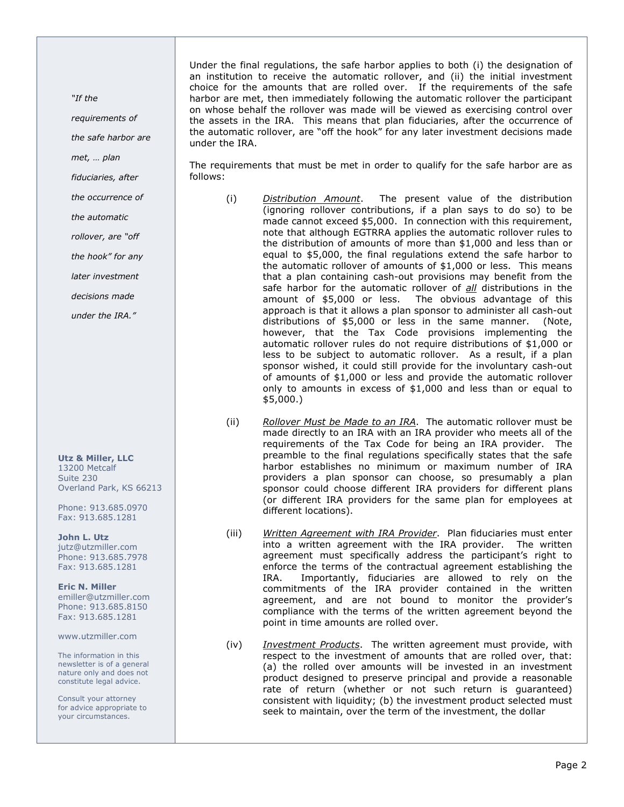"If the

requirements of

the safe harbor are

met, … plan

fiduciaries, after

the occurrence of

the automatic

rollover, are "off

the hook" for any

later investment

decisions made

under the IRA."

Utz & Miller, LLC 13200 Metcalf Suite 230 Overland Park, KS 66213

Phone: 913.685.0970 Fax: 913.685.1281

John L. Utz jutz@utzmiller.com Phone: 913.685.7978 Fax: 913.685.1281

Eric N. Miller emiller@utzmiller.com Phone: 913.685.8150 Fax: 913.685.1281

www.utzmiller.com

The information in this newsletter is of a general nature only and does not constitute legal advice.

Consult your attorney for advice appropriate to your circumstances.

Under the final regulations, the safe harbor applies to both (i) the designation of an institution to receive the automatic rollover, and (ii) the initial investment choice for the amounts that are rolled over. If the requirements of the safe harbor are met, then immediately following the automatic rollover the participant on whose behalf the rollover was made will be viewed as exercising control over the assets in the IRA. This means that plan fiduciaries, after the occurrence of the automatic rollover, are "off the hook" for any later investment decisions made under the IRA.

The requirements that must be met in order to qualify for the safe harbor are as follows:

- (i) Distribution Amount. The present value of the distribution (ignoring rollover contributions, if a plan says to do so) to be made cannot exceed \$5,000. In connection with this requirement, note that although EGTRRA applies the automatic rollover rules to the distribution of amounts of more than \$1,000 and less than or equal to \$5,000, the final regulations extend the safe harbor to the automatic rollover of amounts of \$1,000 or less. This means that a plan containing cash-out provisions may benefit from the safe harbor for the automatic rollover of all distributions in the amount of \$5,000 or less. The obvious advantage of this approach is that it allows a plan sponsor to administer all cash-out distributions of \$5,000 or less in the same manner. (Note, however, that the Tax Code provisions implementing the automatic rollover rules do not require distributions of \$1,000 or less to be subject to automatic rollover. As a result, if a plan sponsor wished, it could still provide for the involuntary cash-out of amounts of \$1,000 or less and provide the automatic rollover only to amounts in excess of \$1,000 and less than or equal to \$5,000.)
- (ii) Rollover Must be Made to an IRA. The automatic rollover must be made directly to an IRA with an IRA provider who meets all of the requirements of the Tax Code for being an IRA provider. The preamble to the final regulations specifically states that the safe harbor establishes no minimum or maximum number of IRA providers a plan sponsor can choose, so presumably a plan sponsor could choose different IRA providers for different plans (or different IRA providers for the same plan for employees at different locations).
- (iii) Written Agreement with IRA Provider. Plan fiduciaries must enter into a written agreement with the IRA provider. The written agreement must specifically address the participant's right to enforce the terms of the contractual agreement establishing the IRA. Importantly, fiduciaries are allowed to rely on the commitments of the IRA provider contained in the written agreement, and are not bound to monitor the provider's compliance with the terms of the written agreement beyond the point in time amounts are rolled over.
- (iv) *Investment Products*. The written agreement must provide, with respect to the investment of amounts that are rolled over, that: (a) the rolled over amounts will be invested in an investment product designed to preserve principal and provide a reasonable rate of return (whether or not such return is guaranteed) consistent with liquidity; (b) the investment product selected must seek to maintain, over the term of the investment, the dollar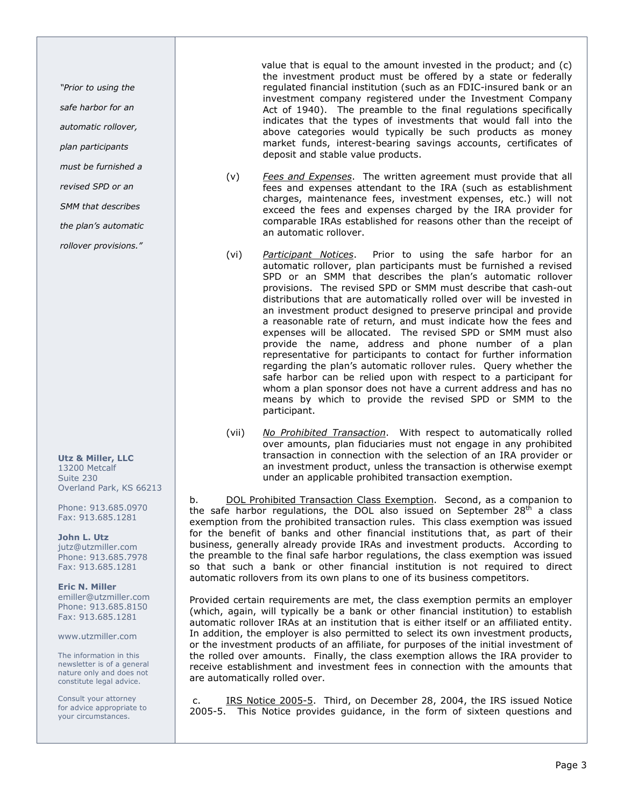"Prior to using the

safe harbor for an

automatic rollover,

plan participants

must be furnished a

revised SPD or an

SMM that describes

the plan's automatic

rollover provisions."

Utz & Miller, LLC 13200 Metcalf Suite 230 Overland Park, KS 66213

Phone: 913.685.0970 Fax: 913.685.1281

John L. Utz jutz@utzmiller.com Phone: 913.685.7978 Fax: 913.685.1281

Eric N. Miller emiller@utzmiller.com Phone: 913.685.8150 Fax: 913.685.1281

www.utzmiller.com

The information in this newsletter is of a general nature only and does not constitute legal advice.

Consult your attorney for advice appropriate to your circumstances.

 value that is equal to the amount invested in the product; and (c) the investment product must be offered by a state or federally regulated financial institution (such as an FDIC-insured bank or an investment company registered under the Investment Company Act of 1940). The preamble to the final regulations specifically indicates that the types of investments that would fall into the above categories would typically be such products as money market funds, interest-bearing savings accounts, certificates of deposit and stable value products.

- $(v)$  Fees and Expenses. The written agreement must provide that all fees and expenses attendant to the IRA (such as establishment charges, maintenance fees, investment expenses, etc.) will not exceed the fees and expenses charged by the IRA provider for comparable IRAs established for reasons other than the receipt of an automatic rollover.
- (vi) Participant Notices. Prior to using the safe harbor for an automatic rollover, plan participants must be furnished a revised SPD or an SMM that describes the plan's automatic rollover provisions. The revised SPD or SMM must describe that cash-out distributions that are automatically rolled over will be invested in an investment product designed to preserve principal and provide a reasonable rate of return, and must indicate how the fees and expenses will be allocated. The revised SPD or SMM must also provide the name, address and phone number of a plan representative for participants to contact for further information regarding the plan's automatic rollover rules. Query whether the safe harbor can be relied upon with respect to a participant for whom a plan sponsor does not have a current address and has no means by which to provide the revised SPD or SMM to the participant.
- (vii) No Prohibited Transaction. With respect to automatically rolled over amounts, plan fiduciaries must not engage in any prohibited transaction in connection with the selection of an IRA provider or an investment product, unless the transaction is otherwise exempt under an applicable prohibited transaction exemption.

b. DOL Prohibited Transaction Class Exemption. Second, as a companion to the safe harbor regulations, the DOL also issued on September  $28<sup>th</sup>$  a class exemption from the prohibited transaction rules. This class exemption was issued for the benefit of banks and other financial institutions that, as part of their business, generally already provide IRAs and investment products. According to the preamble to the final safe harbor regulations, the class exemption was issued so that such a bank or other financial institution is not required to direct automatic rollovers from its own plans to one of its business competitors.

Provided certain requirements are met, the class exemption permits an employer (which, again, will typically be a bank or other financial institution) to establish automatic rollover IRAs at an institution that is either itself or an affiliated entity. In addition, the employer is also permitted to select its own investment products, or the investment products of an affiliate, for purposes of the initial investment of the rolled over amounts. Finally, the class exemption allows the IRA provider to receive establishment and investment fees in connection with the amounts that are automatically rolled over.

 c. IRS Notice 2005-5. Third, on December 28, 2004, the IRS issued Notice 2005-5. This Notice provides guidance, in the form of sixteen questions and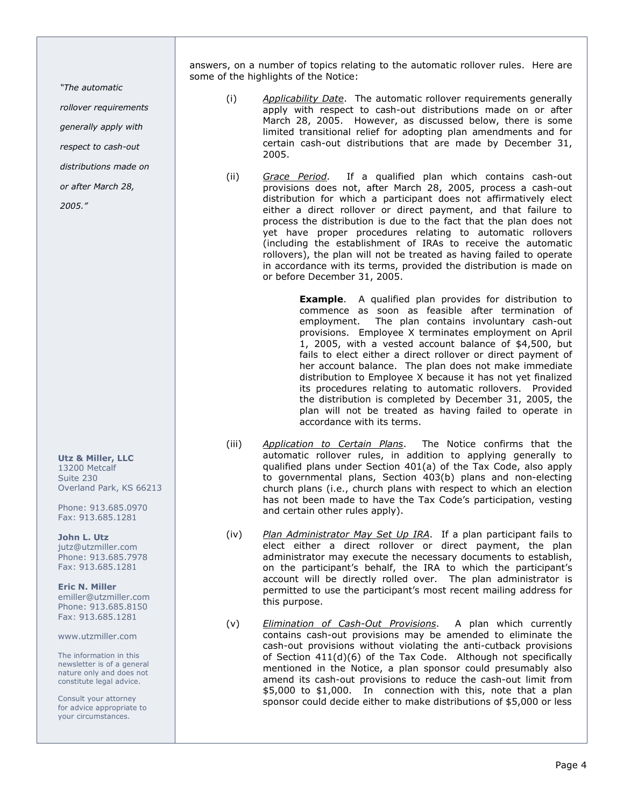"The automatic

rollover requirements

generally apply with

respect to cash-out

distributions made on

or after March 28,

2005."

Utz & Miller, LLC 13200 Metcalf Suite 230 Overland Park, KS 66213

Phone: 913.685.0970 Fax: 913.685.1281

John L. Utz jutz@utzmiller.com Phone: 913.685.7978 Fax: 913.685.1281

Eric N. Miller emiller@utzmiller.com Phone: 913.685.8150 Fax: 913.685.1281

www.utzmiller.com

The information in this newsletter is of a general nature only and does not constitute legal advice.

Consult your attorney for advice appropriate to your circumstances.

answers, on a number of topics relating to the automatic rollover rules. Here are some of the highlights of the Notice:

- (i) Applicability Date. The automatic rollover requirements generally apply with respect to cash-out distributions made on or after March 28, 2005. However, as discussed below, there is some limited transitional relief for adopting plan amendments and for certain cash-out distributions that are made by December 31, 2005.
- (ii) Grace Period. If a qualified plan which contains cash-out provisions does not, after March 28, 2005, process a cash-out distribution for which a participant does not affirmatively elect either a direct rollover or direct payment, and that failure to process the distribution is due to the fact that the plan does not yet have proper procedures relating to automatic rollovers (including the establishment of IRAs to receive the automatic rollovers), the plan will not be treated as having failed to operate in accordance with its terms, provided the distribution is made on or before December 31, 2005.

**Example.** A qualified plan provides for distribution to commence as soon as feasible after termination of employment. The plan contains involuntary cash-out provisions. Employee X terminates employment on April 1, 2005, with a vested account balance of \$4,500, but fails to elect either a direct rollover or direct payment of her account balance. The plan does not make immediate distribution to Employee X because it has not yet finalized its procedures relating to automatic rollovers. Provided the distribution is completed by December 31, 2005, the plan will not be treated as having failed to operate in accordance with its terms.

- (iii) Application to Certain Plans. The Notice confirms that the automatic rollover rules, in addition to applying generally to qualified plans under Section 401(a) of the Tax Code, also apply to governmental plans, Section 403(b) plans and non-electing church plans (i.e., church plans with respect to which an election has not been made to have the Tax Code's participation, vesting and certain other rules apply).
- (iv) Plan Administrator May Set Up IRA. If a plan participant fails to elect either a direct rollover or direct payment, the plan administrator may execute the necessary documents to establish, on the participant's behalf, the IRA to which the participant's account will be directly rolled over. The plan administrator is permitted to use the participant's most recent mailing address for this purpose.
- (v) Elimination of Cash-Out Provisions. A plan which currently contains cash-out provisions may be amended to eliminate the cash-out provisions without violating the anti-cutback provisions of Section 411(d)(6) of the Tax Code. Although not specifically mentioned in the Notice, a plan sponsor could presumably also amend its cash-out provisions to reduce the cash-out limit from \$5,000 to \$1,000. In connection with this, note that a plan sponsor could decide either to make distributions of \$5,000 or less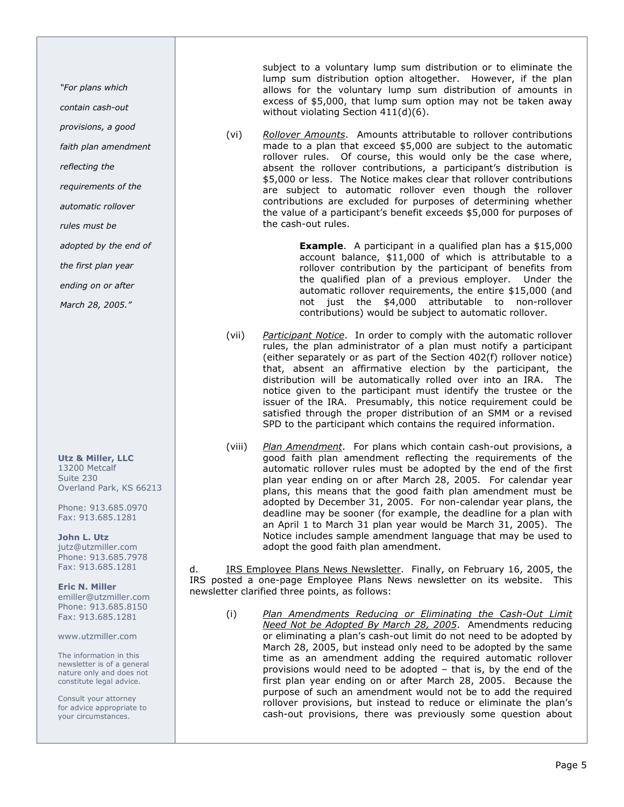"For plans which

contain cash-out

provisions, a good

faith plan amendment

reflecting the

requirements of the

automatic rollover

rules must be

adopted by the end of

the first plan year

ending on or after

March 28, 2005."

Utz & Miller, LLC 13200 Metcalf Suite 230 Overland Park, KS 66213

Phone: 913.685.0970 Fax: 913.685.1281

John L. Utz jutz@utzmiller.com Phone: 913.685.7978 Fax: 913.685.1281

Eric N. Miller emiller@utzmiller.com Phone: 913.685.8150 Fax: 913.685.1281

www.utzmiller.com

The information in this newsletter is of a general nature only and does not constitute legal advice.

Consult your attorney for advice appropriate to your circumstances.

subject to a voluntary lump sum distribution or to eliminate the lump sum distribution option altogether. However, if the plan allows for the voluntary lump sum distribution of amounts in excess of \$5,000, that lump sum option may not be taken away without violating Section 411(d)(6).

(vi) Rollover Amounts. Amounts attributable to rollover contributions made to a plan that exceed \$5,000 are subject to the automatic rollover rules. Of course, this would only be the case where, absent the rollover contributions, a participant's distribution is \$5,000 or less. The Notice makes clear that rollover contributions are subject to automatic rollover even though the rollover contributions are excluded for purposes of determining whether the value of a participant's benefit exceeds \$5,000 for purposes of the cash-out rules.

> **Example.** A participant in a qualified plan has a \$15,000 account balance, \$11,000 of which is attributable to a rollover contribution by the participant of benefits from the qualified plan of a previous employer. Under the automatic rollover requirements, the entire \$15,000 (and not just the \$4,000 attributable to non-rollover contributions) would be subject to automatic rollover.

- (vii) Participant Notice. In order to comply with the automatic rollover rules, the plan administrator of a plan must notify a participant (either separately or as part of the Section 402(f) rollover notice) that, absent an affirmative election by the participant, the distribution will be automatically rolled over into an IRA. The notice given to the participant must identify the trustee or the issuer of the IRA. Presumably, this notice requirement could be satisfied through the proper distribution of an SMM or a revised SPD to the participant which contains the required information.
- (viii) Plan Amendment. For plans which contain cash-out provisions, a good faith plan amendment reflecting the requirements of the automatic rollover rules must be adopted by the end of the first plan year ending on or after March 28, 2005. For calendar year plans, this means that the good faith plan amendment must be adopted by December 31, 2005. For non-calendar year plans, the deadline may be sooner (for example, the deadline for a plan with an April 1 to March 31 plan year would be March 31, 2005). The Notice includes sample amendment language that may be used to adopt the good faith plan amendment.

d. **IRS Employee Plans News Newsletter.** Finally, on February 16, 2005, the IRS posted a one-page Employee Plans News newsletter on its website. This newsletter clarified three points, as follows:

(i) Plan Amendments Reducing or Eliminating the Cash-Out Limit Need Not be Adopted By March 28, 2005. Amendments reducing or eliminating a plan's cash-out limit do not need to be adopted by March 28, 2005, but instead only need to be adopted by the same time as an amendment adding the required automatic rollover provisions would need to be adopted – that is, by the end of the first plan year ending on or after March 28, 2005. Because the purpose of such an amendment would not be to add the required rollover provisions, but instead to reduce or eliminate the plan's cash-out provisions, there was previously some question about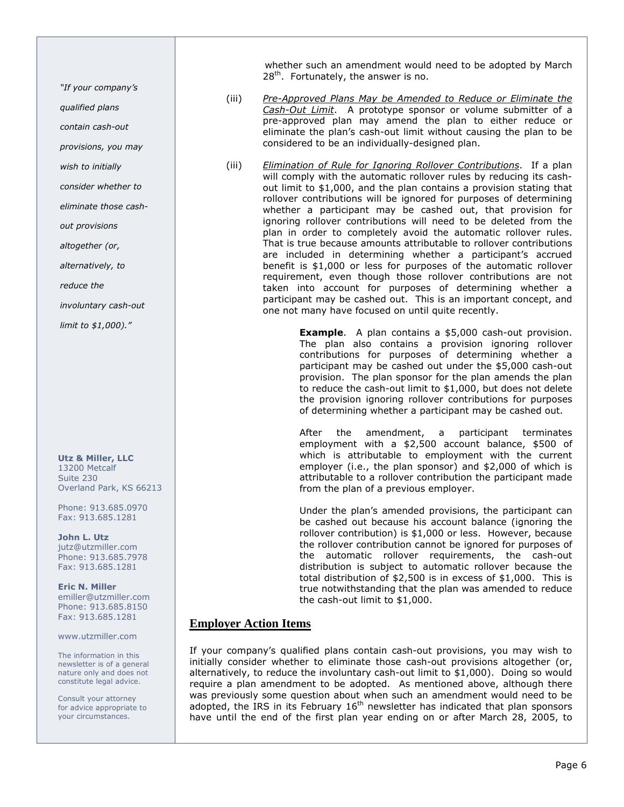"If your company's

qualified plans

contain cash-out

provisions, you may

wish to initially

consider whether to

eliminate those cash-

out provisions

altogether (or,

alternatively, to

reduce the

involuntary cash-out

limit to \$1,000)."

Utz & Miller, LLC 13200 Metcalf Suite 230 Overland Park, KS 66213

Phone: 913.685.0970 Fax: 913.685.1281

John L. Utz jutz@utzmiller.com Phone: 913.685.7978 Fax: 913.685.1281

Eric N. Miller emiller@utzmiller.com Phone: 913.685.8150 Fax: 913.685.1281

www.utzmiller.com

The information in this newsletter is of a general nature only and does not constitute legal advice.

Consult your attorney for advice appropriate to your circumstances.

 whether such an amendment would need to be adopted by March  $28<sup>th</sup>$ . Fortunately, the answer is no.

- (iii) Pre-Approved Plans May be Amended to Reduce or Eliminate the Cash-Out Limit. A prototype sponsor or volume submitter of a pre-approved plan may amend the plan to either reduce or eliminate the plan's cash-out limit without causing the plan to be considered to be an individually-designed plan.
- (iii) Elimination of Rule for Ignoring Rollover Contributions. If a plan will comply with the automatic rollover rules by reducing its cashout limit to \$1,000, and the plan contains a provision stating that rollover contributions will be ignored for purposes of determining whether a participant may be cashed out, that provision for ignoring rollover contributions will need to be deleted from the plan in order to completely avoid the automatic rollover rules. That is true because amounts attributable to rollover contributions are included in determining whether a participant's accrued benefit is \$1,000 or less for purposes of the automatic rollover requirement, even though those rollover contributions are not taken into account for purposes of determining whether a participant may be cashed out. This is an important concept, and one not many have focused on until quite recently.

**Example.** A plan contains a \$5,000 cash-out provision. The plan also contains a provision ignoring rollover contributions for purposes of determining whether a participant may be cashed out under the \$5,000 cash-out provision. The plan sponsor for the plan amends the plan to reduce the cash-out limit to \$1,000, but does not delete the provision ignoring rollover contributions for purposes of determining whether a participant may be cashed out.

After the amendment, a participant terminates employment with a \$2,500 account balance, \$500 of which is attributable to employment with the current employer (i.e., the plan sponsor) and \$2,000 of which is attributable to a rollover contribution the participant made from the plan of a previous employer.

Under the plan's amended provisions, the participant can be cashed out because his account balance (ignoring the rollover contribution) is \$1,000 or less. However, because the rollover contribution cannot be ignored for purposes of the automatic rollover requirements, the cash-out distribution is subject to automatic rollover because the total distribution of \$2,500 is in excess of \$1,000. This is true notwithstanding that the plan was amended to reduce the cash-out limit to \$1,000.

### **Employer Action Items**

If your company's qualified plans contain cash-out provisions, you may wish to initially consider whether to eliminate those cash-out provisions altogether (or, alternatively, to reduce the involuntary cash-out limit to \$1,000). Doing so would require a plan amendment to be adopted. As mentioned above, although there was previously some question about when such an amendment would need to be adopted, the IRS in its February  $16<sup>th</sup>$  newsletter has indicated that plan sponsors have until the end of the first plan year ending on or after March 28, 2005, to